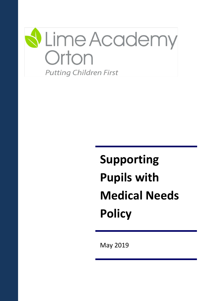

# **Supporting Pupils with Medical Needs Policy**

May 2019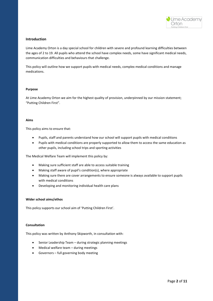

#### **Introduction**

Lime Academy Orton is a day special school for children with severe and profound learning difficulties between the ages of 2 to 19. All pupils who attend the school have complex needs, some have significant medical needs, communication difficulties and behaviours that challenge.

This policy will outline how we support pupils with medical needs, complex medical conditions and manage medications.

#### **Purpose**

At Lime Academy Orton we aim for the highest quality of provision, underpinned by our mission statement; "Putting Children First".

#### **Aims**

This policy aims to ensure that:

- Pupils, staff and parents understand how our school will support pupils with medical conditions
- Pupils with medical conditions are properly supported to allow them to access the same education as other pupils, including school trips and sporting activities

The Medical Welfare Team will implement this policy by:

- Making sure sufficient staff are able to access suitable training
- Making staff aware of pupil's condition(s), where appropriate
- Making sure there are cover arrangements to ensure someone is always available to support pupils with medical conditions
- Developing and monitoring individual health care plans

#### **Wider school aims/ethos**

This policy supports our school aim of 'Putting Children First'.

#### **Consultation**

This policy was written by Anthony Skipworth, in consultation with:

- Senior Leadership Team during strategic planning meetings
- Medical welfare team during meetings
- Governors full governing body meeting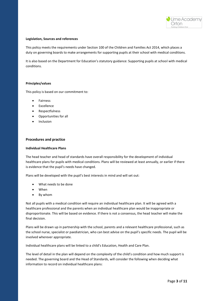

#### **Legislation, Sources and references**

This policy meets the requirements under Section 100 of the Children and Families Act 2014, which places a duty on governing boards to make arrangements for supporting pupils at their school with medical conditions.

It is also based on the Department for Education's statutory guidance: Supporting pupils at school with medical conditions.

#### **Principles/values**

This policy is based on our commitment to:

- Fairness
- Excellence
- Respectfulness
- Opportunities for all
- **Inclusion**

#### **Procedures and practice**

#### **Individual Healthcare Plans**

The head teacher and head of standards have overall responsibility for the development of individual healthcare plans for pupils with medical conditions. Plans will be reviewed at least annually, or earlier if there is evidence that the pupil's needs have changed.

Plans will be developed with the pupil's best interests in mind and will set out:

- What needs to be done
- When
- By whom

Not all pupils with a medical condition will require an individual healthcare plan. It will be agreed with a healthcare professional and the parents when an individual healthcare plan would be inappropriate or disproportionate. This will be based on evidence. If there is not a consensus, the head teacher will make the final decision.

Plans will be drawn up in partnership with the school, parents and a relevant healthcare professional, such as the school nurse, specialist or paediatrician, who can best advise on the pupil's specific needs. The pupil will be involved wherever appropriate.

Individual healthcare plans will be linked to a child's Education, Health and Care Plan.

The level of detail in the plan will depend on the complexity of the child's condition and how much support is needed. The governing board and the Head of Standards, will consider the following when deciding what information to record on individual healthcare plans: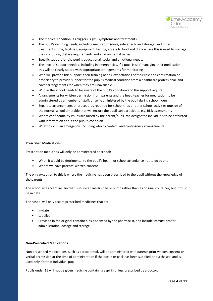

- The medical condition, its triggers, signs, symptoms and treatments
- The pupil's resulting needs, including medication (dose, side effects and storage) and other treatments, time, facilities, equipment, testing, access to food and drink where this is used to manage their condition, dietary requirements and environmental issues.
- Specific support for the pupil's educational, social and emotional needs.
- The level of support needed, including in emergencies. If a pupil is self-managing their medication, this will be clearly stated with appropriate arrangements for monitoring
- Who will provide this support, their training needs, expectations of their role and confirmation of proficiency to provide support for the pupil's medical condition from a healthcare professional, and cover arrangements for when they are unavailable
- Who in the school needs to be aware of the pupil's condition and the support required
- Arrangements for written permission from parents and the head teacher for medication to be administered by a member of staff, or self-administered by the pupil during school hours
- Separate arrangements or procedures required for school trips or other school activities outside of the normal school timetable that will ensure the pupil can participate, e.g. Risk assessments
- Where confidentiality issues are raised by the parent/pupil, the designated individuals to be entrusted with information about the pupil's condition
- What to do in an emergency, including who to contact, and contingency arrangements

#### **Prescribed Medications**

Prescription medicines will only be administered at school:

- When it would be detrimental to the pupil's health or school attendance not to do so and
- Where we have parents' written consent

The only exception to this is where the medicine has been prescribed to the pupil without the knowledge of the parents.

The school will accept insulin that is inside an insulin pen or pump rather than its original container, but it must be in date.

The school will only accept prescribed medicines that are:

- In-date
- Labelled
- Provided in the original container, as dispensed by the pharmacist, and include instructions for administration, dosage and storage

#### **Non-Prescribed Medications**

Non prescribed medications, such as paracetamol, will be administered with parents prior written consent or verbal permission at the time of administration if the bottle or pack has been supplied or purchased, and is used only, for that individual pupil.

Pupils under 16 will not be given medicine containing aspirin unless prescribed by a doctor.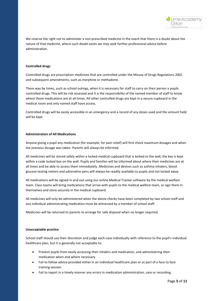

We reserve the right not to administer a non-prescribed medicine in the event that there is a doubt about the nature of that medicine, where such doubt exists we may seek further professional advice before administration.

#### **Controlled drugs**

Controlled drugs are prescription medicines that are controlled under the Misuse of Drugs Regulations 2001 and subsequent amendments, such as morphine or methadone.

There way be times, such as school outings, when it is necessary for staff to carry on their person a pupils controlled drugs. This will be risk assessed and it is the responsibility of the named member of staff to know where those medications are at all times. All other controlled drugs are kept in a secure cupboard in the medical room and only named staff have access.

Controlled drugs will be easily accessible in an emergency and a record of any doses used and the amount held will be kept.

#### **Administration of All Medications**

Anyone giving a pupil any medication (for example, for pain relief) will first check maximum dosages and when the previous dosage was taken. Parents will always be informed.

All medicines will be stored safely within a locked medical cupboard that is bolted to the wall, the key is kept within a code locked box on the wall. Pupils and families will be informed about where their medicines are at all times and be able to access them immediately. Medicines and devices such as asthma inhalers, blood glucose testing meters and adrenaline pens will always be readily available to pupils and not locked away.

All medications will be signed in and out using our online Medical Tracker software by the medical welfare team. Class teams will bring medications that arrive with pupils to the medical welfare team, or sign them in themselves and store securely in the medical cupboard.

All medicines will only be administered when the above checks have been completed by two school staff and any individual administrating medication must be witnessed by a member of school staff.

Medicines will be returned to parents to arrange for safe disposal when no longer required.

#### **Unacceptable practice**

School staff should use their discretion and judge each case individually with reference to the pupil's individual healthcare plan, but it is generally not acceptable to:

- Prevent pupils from easily accessing their inhalers and medication, and administering their medication when and where necessary
- Fail to follow advice provided either in an individual healthcare plan or as part of a face to face training session.
- Fail to report in a timely manner any errors in medication administration, care or recording.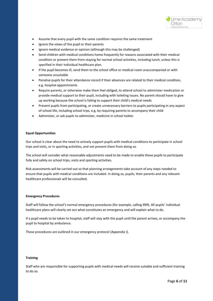

- Assume that every pupil with the same condition requires the same treatment
- Ignore the views of the pupil or their parents
- Ignore medical evidence or opinion (although this may be challenged)
- Send children with medical conditions home frequently for reasons associated with their medical condition or prevent them from staying for normal school activities, including lunch, unless this is specified in their individual healthcare plan.
- If the pupil becomes ill, send them to the school office or medical room unaccompanied or with someone unsuitable
- Penalise pupils for their attendance record if their absences are related to their medical condition, e.g. hospital appointments
- Require parents, or otherwise make them feel obliged, to attend school to administer medication or provide medical support to their pupil, including with toileting issues. No parent should have to give up working because the school is failing to support their child's medical needs
- Prevent pupils from participating, or create unnecessary barriers to pupils participating in any aspect of school life, including school trips, e.g. by requiring parents to accompany their child
- Administer, or ask pupils to administer, medicine in school toilets

#### **Equal Opportunities**

Our school is clear about the need to actively support pupils with medical conditions to participate in school trips and visits, or in sporting activities, and not prevent them from doing so.

The school will consider what reasonable adjustments need to be made to enable these pupils to participate fully and safely on school trips, visits and sporting activities.

Risk assessments will be carried out so that planning arrangements take account of any steps needed to ensure that pupils with medical conditions are included. In doing so, pupils, their parents and any relevant healthcare professionals will be consulted.

#### **Emergency Procedures**

Staff will follow the school's normal emergency procedures (for example, calling 999). All pupils' individual healthcare plans will clearly set out what constitutes an emergency and will explain what to do.

If a pupil needs to be taken to hospital, staff will stay with the pupil until the parent arrives, or accompany the pupil to hospital by ambulance.

These procedures are outlined in our emergency protocol (Appendix I).

#### **Training**

Staff who are responsible for supporting pupils with medical needs will receive suitable and sufficient training to do so.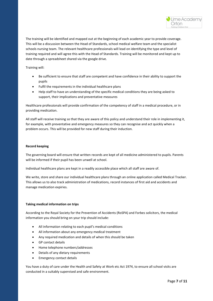

The training will be identified and mapped out at the beginning of each academic year to provide coverage. This will be a discussion between the Head of Standards, school medical welfare team and the specialist schools nursing team. The relevant healthcare professionals will lead on identifying the type and level of training required and will agree this with the Head of Standards. Training will be monitored and kept up to date through a spreadsheet shared via the google drive.

Training will:

- Be sufficient to ensure that staff are competent and have confidence in their ability to support the pupils
- Fulfil the requirements in the individual healthcare plans
- Help staff to have an understanding of the specific medical conditions they are being asked to support, their implications and preventative measures

Healthcare professionals will provide confirmation of the competency of staff in a medical procedure, or in providing medication.

All staff will receive training so that they are aware of this policy and understand their role in implementing it, for example, with preventative and emergency measures so they can recognise and act quickly when a problem occurs. This will be provided for new staff during their induction.

#### **Record keeping**

The governing board will ensure that written records are kept of all medicine administered to pupils. Parents will be informed if their pupil has been unwell at school.

Individual healthcare plans are kept in a readily accessible place which all staff are aware of.

We write, store and share our individual healthcare plans through an online application called Medical Tracker. This allows us to also track administration of medications, record instances of first aid and accidents and manage medication expiries.

#### **Taking medical information on trips**

According to the Royal Society for the Prevention of Accidents (RoSPA) and Forbes solicitors, the medical information you should bring on your trip should include:

- All information relating to each pupil's medical conditions
- All information about any emergency medical treatment
- Any required medication and details of when this should be taken
- GP contact details
- Home telephone numbers/addresses
- Details of any dietary requirements
- Emergency contact details

You have a duty of care under the Health and Safety at Work etc Act 1974, to ensure all school visits are conducted in a suitably supervised and safe environment.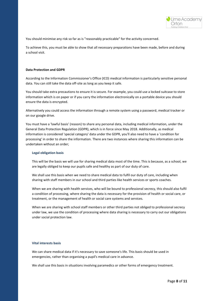

You should minimise any risk so far as is "reasonably practicable" for the activity concerned.

To achieve this, you must be able to show that all necessary preparations have been made, before and during a school visit.

#### **Data Protection and GDPR**

According to the Information Commissioner's Office (ICO) medical information is particularly sensitive personal data. You can still take the data off-site as long as you keep it safe.

You should take extra precautions to ensure it is secure. For example, you could use a locked suitcase to store information which is on paper or if you carry the information electronically on a portable device you should ensure the data is encrypted.

Alternatively you could access the information through a remote system using a password, medical tracker or on our google drive.

You must have a 'lawful basis' (reason) to share any personal data, including medical information, under the General Data Protection Regulation (GDPR), which is in force since May 2018. Additionally, as medical information is considered 'special category' data under the GDPR, you'll also need to have a 'condition for processing' in order to share the information. There are two instances where sharing this information can be undertaken without an order;

#### **Legal obligation basis**

This will be the basis we will use for sharing medical data most of the time. This is because, as a school, we are legally obliged to keep our pupils safe and healthy as part of our duty of care.

We shall use this basis when we need to share medical data to fulfil our duty of care, including when sharing with staff members in our school and third parties like health services or sports coaches.

When we are sharing with health services, who will be bound to professional secrecy, this should also fulfil a condition of processing, where sharing the data is necessary for the provision of health or social care, or treatment, or the management of health or social care systems and services.

When we are sharing with school staff members or other third parties not obliged to professional secrecy under law, we use the condition of processing where data sharing is necessary to carry out our obligations under social protection law.

#### **Vital interests basis**

We can share medical data if it's necessary to save someone's life. This basis should be used in emergencies, rather than organising a pupil's medical care in advance.

We shall use this basis in situations involving paramedics or other forms of emergency treatment.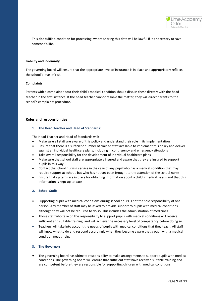

This also fulfils a condition for processing, where sharing this data will be lawful if it's necessary to save someone's life.

#### **Liability and indemnity**

The governing board will ensure that the appropriate level of insurance is in place and appropriately reflects the school's level of risk.

#### **Complaints**

Parents with a complaint about their child's medical condition should discuss these directly with the head teacher in the first instance. If the head teacher cannot resolve the matter, they will direct parents to the school's complaints procedure.

#### **Roles and responsibilities**

#### **1. The Head Teacher and Head of Standards:**

The Head Teacher and Head of Standards will:

- Make sure all staff are aware of this policy and understand their role in its implementation
- Ensure that there is a sufficient number of trained staff available to implement this policy and deliver against all individual healthcare plans, including in contingency and emergency situations
- Take overall responsibility for the development of individual healthcare plans
- Make sure that school staff are appropriately insured and aware that they are insured to support pupils in this way
- Contact the school nursing service in the case of any pupil who has a medical condition that may require support at school, but who has not yet been brought to the attention of the school nurse
- Ensure that systems are in place for obtaining information about a child's medical needs and that this information is kept up to date

#### **2. School Staff:**

- Supporting pupils with medical conditions during school hours is not the sole responsibility of one person. Any member of staff may be asked to provide support to pupils with medical conditions, although they will not be required to do so. This includes the administration of medicines.
- Those staff who take on the responsibility to support pupils with medical conditions will receive sufficient and suitable training, and will achieve the necessary level of competency before doing so.
- Teachers will take into account the needs of pupils with medical conditions that they teach. All staff will know what to do and respond accordingly when they become aware that a pupil with a medical condition needs help.

#### **3. The Governors:**

• The governing board has ultimate responsibility to make arrangements to support pupils with medical conditions. The governing board will ensure that sufficient staff have received suitable training and are competent before they are responsible for supporting children with medical conditions.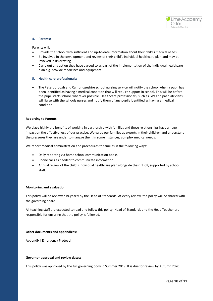

#### **4. Parents:**

Parents will:

- Provide the school with sufficient and up-to-date information about their child's medical needs
- Be involved in the development and review of their child's individual healthcare plan and may be involved in its drafting
- Carry out any action they have agreed to as part of the implementation of the individual healthcare plan e.g. provide medicines and equipment
- **5. Health care professionals:**
- The Peterborough and Cambridgeshire school nursing service will notify the school when a pupil has been identified as having a medical condition that will require support in school. This will be before the pupil starts school, wherever possible. Healthcare professionals, such as GPs and paediatricians, will liaise with the schools nurses and notify them of any pupils identified as having a medical condition.

#### **Reporting to Parents**

We place highly the benefits of working in partnership with families and these relationships have a huge impact on the effectiveness of our practice. We value our families as experts in their children and understand the pressures they are under to manage their, in some instances, complex medical needs.

We report medical administration and procedures to families in the following ways:

- Daily reporting via home school communication books.
- Phone calls as needed to communicate information.
- Annual review of the child's individual healthcare plan alongside their EHCP, supported by school staff.

#### **Monitoring and evaluation**

This policy will be reviewed bi-yearly by the Head of Standards. At every review, the policy will be shared with the governing board.

All teaching staff are expected to read and follow this policy. Head of Standards and the Head Teacher are responsible for ensuring that the policy is followed.

#### **Other documents and appendices:**

Appendix I Emergency Protocol

#### **Governor approval and review dates:**

This policy was approved by the full governing body in Summer 2019. It is due for review by Autumn 2020.